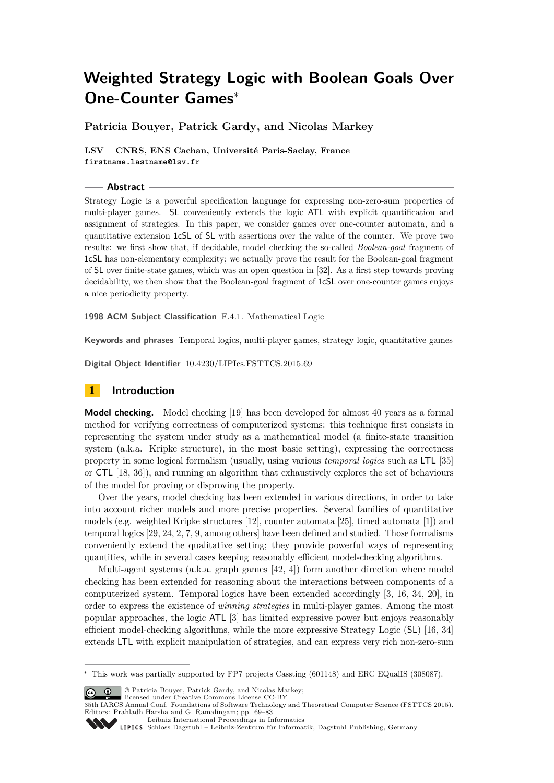**Patricia Bouyer, Patrick Gardy, and Nicolas Markey**

**LSV – CNRS, ENS Cachan, Université Paris-Saclay, France firstname.lastname@lsv.fr**

### **Abstract**

Strategy Logic is a powerful specification language for expressing non-zero-sum properties of multi-player games. SL conveniently extends the logic ATL with explicit quantification and assignment of strategies. In this paper, we consider games over one-counter automata, and a quantitative extension 1cSL of SL with assertions over the value of the counter. We prove two results: we first show that, if decidable, model checking the so-called *Boolean-goal* fragment of 1cSL has non-elementary complexity; we actually prove the result for the Boolean-goal fragment of SL over finite-state games, which was an open question in [\[32\]](#page-14-0). As a first step towards proving decidability, we then show that the Boolean-goal fragment of 1cSL over one-counter games enjoys a nice periodicity property.

**1998 ACM Subject Classification** F.4.1. Mathematical Logic

**Keywords and phrases** Temporal logics, multi-player games, strategy logic, quantitative games

**Digital Object Identifier** [10.4230/LIPIcs.FSTTCS.2015.69](http://dx.doi.org/10.4230/LIPIcs.FSTTCS.2015.69)

# **1 Introduction**

**Model checking.** Model checking [\[19\]](#page-13-0) has been developed for almost 40 years as a formal method for verifying correctness of computerized systems: this technique first consists in representing the system under study as a mathematical model (a finite-state transition system (a.k.a. Kripke structure), in the most basic setting), expressing the correctness property in some logical formalism (usually, using various *temporal logics* such as LTL [\[35\]](#page-14-1) or CTL [\[18,](#page-13-1) [36\]](#page-14-2)), and running an algorithm that exhaustively explores the set of behaviours of the model for proving or disproving the property.

Over the years, model checking has been extended in various directions, in order to take into account richer models and more precise properties. Several families of quantitative models (e.g. weighted Kripke structures [\[12\]](#page-13-2), counter automata [\[25\]](#page-13-3), timed automata [\[1\]](#page-12-0)) and temporal logics [\[29,](#page-14-3) [24,](#page-13-4) [2,](#page-12-1) [7,](#page-13-5) [9,](#page-13-6) among others] have been defined and studied. Those formalisms conveniently extend the qualitative setting; they provide powerful ways of representing quantities, while in several cases keeping reasonably efficient model-checking algorithms.

Multi-agent systems (a.k.a. graph games [\[42,](#page-14-4) [4\]](#page-12-2)) form another direction where model checking has been extended for reasoning about the interactions between components of a computerized system. Temporal logics have been extended accordingly [\[3,](#page-12-3) [16,](#page-13-7) [34,](#page-14-5) [20\]](#page-13-8), in order to express the existence of *winning strategies* in multi-player games. Among the most popular approaches, the logic ATL [\[3\]](#page-12-3) has limited expressive power but enjoys reasonably efficient model-checking algorithms, while the more expressive Strategy Logic (SL) [\[16,](#page-13-7) [34\]](#page-14-5) extends LTL with explicit manipulation of strategies, and can express very rich non-zero-sum

© Patricia Bouyer, Patrick Gardy, and Nicolas Markey; licensed under Creative Commons License CC-BY

[Leibniz International Proceedings in Informatics](http://www.dagstuhl.de/lipics/) [Schloss Dagstuhl – Leibniz-Zentrum für Informatik, Dagstuhl Publishing, Germany](http://www.dagstuhl.de)

<sup>∗</sup> This work was partially supported by FP7 projects Cassting (601148) and ERC EQualIS (308087).

<sup>35</sup>th IARCS Annual Conf. Foundations of Software Technology and Theoretical Computer Science (FSTTCS 2015). Editors: Prahladh Harsha and G. Ramalingam; pp. 69[–83](#page-14-6)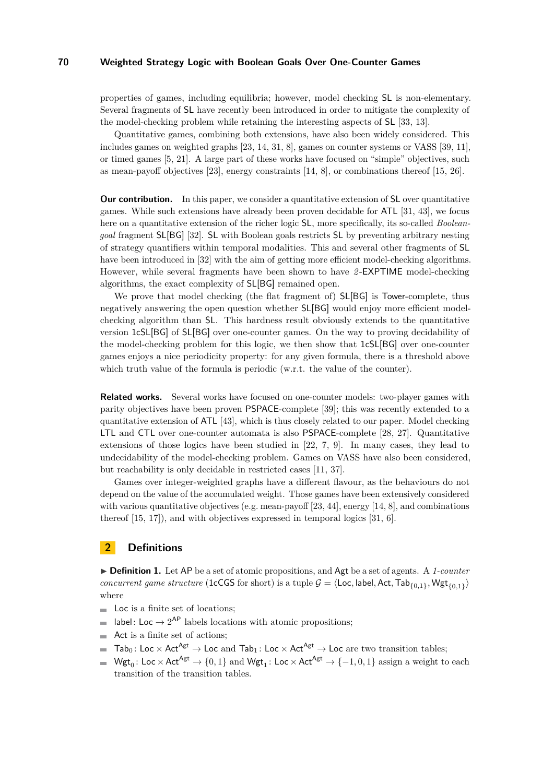properties of games, including equilibria; however, model checking SL is non-elementary. Several fragments of SL have recently been introduced in order to mitigate the complexity of the model-checking problem while retaining the interesting aspects of SL [\[33,](#page-14-7) [13\]](#page-13-9).

Quantitative games, combining both extensions, have also been widely considered. This includes games on weighted graphs [\[23,](#page-13-10) [14,](#page-13-11) [31,](#page-14-8) [8\]](#page-13-12), games on counter systems or VASS [\[39,](#page-14-9) [11\]](#page-13-13), or timed games [\[5,](#page-13-14) [21\]](#page-13-15). A large part of these works have focused on "simple" objectives, such as mean-payoff objectives [\[23\]](#page-13-10), energy constraints [\[14,](#page-13-11) [8\]](#page-13-12), or combinations thereof [\[15,](#page-13-16) [26\]](#page-13-17).

**Our contribution.** In this paper, we consider a quantitative extension of SL over quantitative games. While such extensions have already been proven decidable for ATL [\[31,](#page-14-8) [43\]](#page-14-10), we focus here on a quantitative extension of the richer logic SL, more specifically, its so-called *Booleangoal* fragment SL[BG] [\[32\]](#page-14-0). SL with Boolean goals restricts SL by preventing arbitrary nesting of strategy quantifiers within temporal modalities. This and several other fragments of SL have been introduced in [\[32\]](#page-14-0) with the aim of getting more efficient model-checking algorithms. However, while several fragments have been shown to have *2* -EXPTIME model-checking algorithms, the exact complexity of SL[BG] remained open.

We prove that model checking (the flat fragment of) SL[BG] is Tower-complete, thus negatively answering the open question whether SL[BG] would enjoy more efficient modelchecking algorithm than SL. This hardness result obviously extends to the quantitative version 1cSL[BG] of SL[BG] over one-counter games. On the way to proving decidability of the model-checking problem for this logic, we then show that 1cSL[BG] over one-counter games enjoys a nice periodicity property: for any given formula, there is a threshold above which truth value of the formula is periodic (w.r.t. the value of the counter).

**Related works.** Several works have focused on one-counter models: two-player games with parity objectives have been proven PSPACE-complete [\[39\]](#page-14-9); this was recently extended to a quantitative extension of ATL [\[43\]](#page-14-10), which is thus closely related to our paper. Model checking LTL and CTL over one-counter automata is also PSPACE-complete [\[28,](#page-14-11) [27\]](#page-14-12). Quantitative extensions of those logics have been studied in [\[22,](#page-13-18) [7,](#page-13-5) [9\]](#page-13-6). In many cases, they lead to undecidability of the model-checking problem. Games on VASS have also been considered, but reachability is only decidable in restricted cases [\[11,](#page-13-13) [37\]](#page-14-13).

Games over integer-weighted graphs have a different flavour, as the behaviours do not depend on the value of the accumulated weight. Those games have been extensively considered with various quantitative objectives (e.g. mean-payoff  $[23, 44]$  $[23, 44]$  $[23, 44]$ , energy  $[14, 8]$  $[14, 8]$  $[14, 8]$ , and combinations thereof [\[15,](#page-13-16) [17\]](#page-13-19)), and with objectives expressed in temporal logics [\[31,](#page-14-8) [6\]](#page-13-20).

# **2 Definitions**

▶ **Definition 1.** Let AP be a set of atomic propositions, and Agt be a set of agents. A 1-counter *concurrent game structure* (1cCGS for short) is a tuple  $G = \langle$  Loc, label, Act, Tab<sub>{0,1}</sub>, Wgt<sub>{0,1}</sub>} where

- $\blacksquare$  Loc is a finite set of locations;
- label: Loc  $\rightarrow 2^{AP}$  labels locations with atomic propositions;  $\overline{a}$
- Act is a finite set of actions;
- Tab<sub>0</sub>: Loc  $\times$  Act<sup>Agt</sup>  $\rightarrow$  Loc and Tab<sub>1</sub>: Loc  $\times$  Act<sup>Agt</sup>  $\rightarrow$  Loc are two transition tables;
- $Wgt_0: Loc \times Act^{Agt} \rightarrow \{0, 1\}$  and  $Wgt_1: Loc \times Act^{Agt} \rightarrow \{-1, 0, 1\}$  assign a weight to each  $\overline{a}$ transition of the transition tables.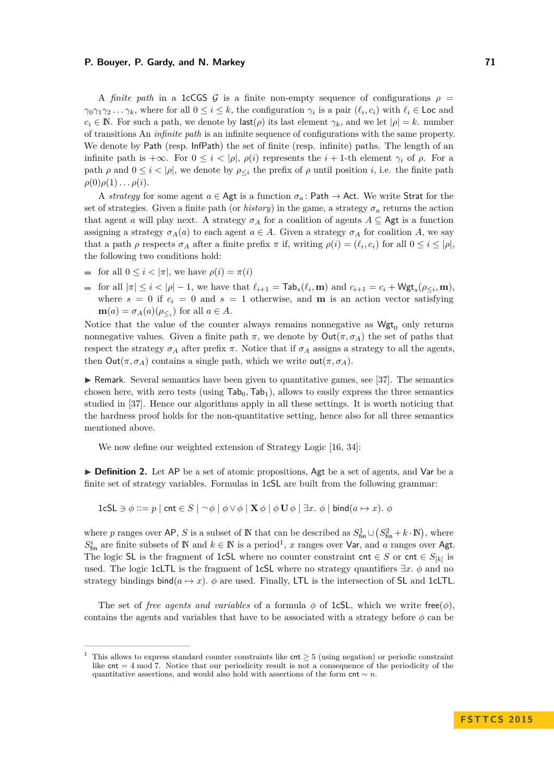A *finite path* in a 1cCGS G is a finite non-empty sequence of configurations  $\rho$  =  $\gamma_0 \gamma_1 \gamma_2 \ldots \gamma_k$ , where for all  $0 \leq i \leq k$ , the configuration  $\gamma_i$  is a pair  $(\ell_i, c_i)$  with  $\ell_i \in \text{Loc}$  and  $c_i \in \mathbb{N}$ . For such a path, we denote by last(*ρ*) its last element  $\gamma_k$ , and we let  $|\rho| = k$ . number of transitions An *infinite path* is an infinite sequence of configurations with the same property. We denote by Path (resp. InfPath) the set of finite (resp. infinite) paths. The length of an infinite path is  $+\infty$ . For  $0 \le i \le |\rho|$ ,  $\rho(i)$  represents the  $i + 1$ -th element  $\gamma_i$  of  $\rho$ . For a path  $\rho$  and  $0 \leq i < |\rho|$ , we denote by  $\rho_{\leq i}$  the prefix of  $\rho$  until position *i*, i.e. the finite path  $\rho(0)\rho(1)\ldots\rho(i).$ 

A *strategy* for some agent  $a \in \mathsf{Agt}$  is a function  $\sigma_a$ : Path  $\to$  Act. We write Strat for the set of strategies. Given a finite path (or *history*) in the game, a strategy  $\sigma_a$  returns the action that agent *a* will play next. A strategy  $\sigma_A$  for a coalition of agents  $A \subseteq \mathsf{Agt}$  is a function assigning a strategy  $\sigma_A(a)$  to each agent  $a \in A$ . Given a strategy  $\sigma_A$  for coalition *A*, we say that a path  $\rho$  respects  $\sigma_A$  after a finite prefix  $\pi$  if, writing  $\rho(i) = (\ell_i, c_i)$  for all  $0 \le i \le |\rho|$ , the following two conditions hold:

- for all  $0 \leq i < |\pi|$ , we have  $\rho(i) = \pi(i)$
- for all  $|\pi| \leq i < |\rho| 1$ , we have that  $\ell_{i+1} = \textsf{Tab}_s(\ell_i, \mathbf{m})$  and  $c_{i+1} = c_i + \textsf{Wgt}_s(\rho_{\leq i}, \mathbf{m})$ , where  $s = 0$  if  $c_i = 0$  and  $s = 1$  otherwise, and **m** is an action vector satisfying  $\mathbf{m}(a) = \sigma_A(a)(\rho_{\leq i})$  for all  $a \in A$ .

Notice that the value of the counter always remains nonnegative as  $Wgt_0$  only returns nonnegative values. Given a finite path  $\pi$ , we denote by  $Out(\pi, \sigma_A)$  the set of paths that respect the strategy  $\sigma_A$  after prefix  $\pi$ . Notice that if  $\sigma_A$  assigns a strategy to all the agents, then  $Out(\pi, \sigma_A)$  contains a single path, which we write  $out(\pi, \sigma_A)$ .

 $\triangleright$  Remark. Several semantics have been given to quantitative games, see [\[37\]](#page-14-13). The semantics chosen here, with zero tests (using  $\text{Tab}_0, \text{Tab}_1$ ), allows to easily express the three semantics studied in [\[37\]](#page-14-13). Hence our algorithms apply in all these settings. It is worth noticing that the hardness proof holds for the non-quantitative setting, hence also for all three semantics mentioned above.

We now define our weighted extension of Strategy Logic [\[16,](#page-13-7) [34\]](#page-14-5):

► **Definition 2.** Let AP be a set of atomic propositions, Agt be a set of agents, and Var be a finite set of strategy variables. Formulas in 1cSL are built from the following grammar:

 $1 \text{cSL } \ni \phi ::= p \mid \text{cnt } \in S \mid \neg \phi \mid \phi \vee \phi \mid \mathbf{X} \phi \mid \phi \mathbf{U} \phi \mid \exists x. \phi \mid \text{bind}(a \mapsto x)$ *.*  $\phi$ 

where *p* ranges over AP, *S* is a subset of N that can be described as  $S_{\text{fin}}^1 \cup (S_{\text{fin}}^2 + k \cdot N)$ , where  $S_{\text{fin}}^i$  are finite subsets of N and  $k \in \mathbb{N}$  is a period<sup>[1](#page-2-0)</sup>, *x* ranges over Var, and *a* ranges over Agt. The logic SL is the fragment of 1cSL where no counter constraint cnt  $\in S$  or cnt  $\in S_{[k]}$  is used. The logic 1cLTL is the fragment of 1cSL where no strategy quantifiers  $\exists x. \phi$  and no strategy bindings bind( $a \mapsto x$ )*.*  $\phi$  are used. Finally, LTL is the intersection of SL and 1cLTL.

The set of *free agents and variables* of a formula  $\phi$  of 1cSL, which we write free $(\phi)$ , contains the agents and variables that have to be associated with a strategy before  $\phi$  can be

<span id="page-2-0"></span>This allows to express standard counter constraints like  $\text{cnt} \geq 5$  (using negation) or periodic constraint like cnt = 4 mod 7. Notice that our periodicity result is not a consequence of the periodicity of the quantitative assertions, and would also hold with assertions of the form  $\text{cnt} \sim n$ .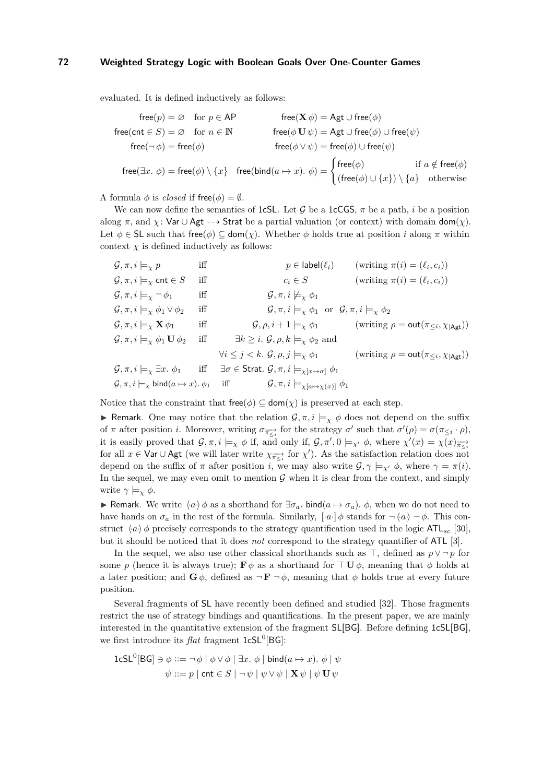evaluated. It is defined inductively as follows:

$$
\begin{aligned} &\text{free}(p) = \varnothing \quad \text{for } p \in \mathsf{AP} \qquad &\text{free}(\mathbf{X} \, \phi) = \mathsf{Agt} \cup \text{free}(\phi) \\ &\text{free}(\text{cnt} \in S) = \varnothing \quad \text{for } n \in \mathbb{N} \qquad &\text{free}(\phi \cup \psi) = \mathsf{Agt} \cup \text{free}(\phi) \cup \text{free}(\psi) \\ &\text{free}(\neg \phi) = \text{free}(\phi) \qquad &\text{free}(\phi \vee \psi) = \text{free}(\phi) \cup \text{free}(\psi) \\ &\text{free}(\exists x. \phi) = \text{free}(\phi) \setminus \{x\} \quad &\text{free}(\text{bind}(a \mapsto x). \ \phi) = \begin{cases} \text{free}(\phi) &\text{if } a \notin \text{free}(\phi) \\ (\text{free}(\phi) \cup \{x\}) \setminus \{a\} &\text{otherwise} \end{cases} \end{aligned}
$$

A formula  $\phi$  is *closed* if free( $\phi$ ) =  $\emptyset$ .

We can now define the semantics of **1cSL**. Let G be a **1cCGS**,  $\pi$  be a path, *i* be a position along  $\pi$ , and  $\chi$ : Var  $\cup$  Agt  $-\rightarrow$  Strat be a partial valuation (or context) with domain dom( $\chi$ ). Let  $\phi \in \mathsf{SL}$  such that free( $\phi$ )  $\subseteq$  dom( $\chi$ ). Whether  $\phi$  holds true at position *i* along  $\pi$  within context  $\chi$  is defined inductively as follows:

$$
G, \pi, i \models_{\chi} p \quad \text{iff} \quad p \in \text{label}(\ell_i) \quad (\text{writing } \pi(i) = (\ell_i, c_i))
$$
\n
$$
G, \pi, i \models_{\chi} \text{cnt} \in S \quad \text{iff} \quad c_i \in S \quad (\text{writing } \pi(i) = (\ell_i, c_i))
$$
\n
$$
G, \pi, i \models_{\chi} \neg \phi_1 \quad \text{iff} \quad G, \pi, i \not\models_{\chi} \phi_1
$$
\n
$$
G, \pi, i \models_{\chi} \phi_1 \lor \phi_2 \quad \text{iff} \quad G, \pi, i \models_{\chi} \phi_1 \quad \text{or} \quad G, \pi, i \models_{\chi} \phi_2
$$
\n
$$
G, \pi, i \models_{\chi} \mathbf{X} \phi_1 \quad \text{iff} \quad G, \rho, i+1 \models_{\chi} \phi_1 \quad (\text{writing } \rho = \text{out}(\pi_{\leq i}, \chi_{|\text{Agt}|}))
$$
\n
$$
G, \pi, i \models_{\chi} \mathbf{X} \phi_1 \quad \text{iff} \quad \exists k \geq i. \ G, \rho, k \models_{\chi} \phi_2 \text{ and}
$$
\n
$$
\forall i \leq j < k. \ G, \rho, j \models_{\chi} \phi_1 \quad (\text{writing } \rho = \text{out}(\pi_{\leq i}, \chi_{|\text{Agt}|}))
$$
\n
$$
G, \pi, i \models_{\chi} \exists x. \ \phi_1 \quad \text{iff} \quad \exists \sigma \in \text{Strat.} \ G, \pi, i \models_{\chi[\alpha \mapsto \chi(x)]} \phi_1
$$
\n
$$
G, \pi, i \models_{\chi} \text{bind}(a \mapsto x). \phi_1 \quad \text{iff} \quad G, \pi, i \models_{\chi[\alpha \mapsto \chi(x)]} \phi_1
$$

Notice that the constraint that  ${\sf free}(\phi) \subseteq {\sf dom}(\chi)$  is preserved at each step.

**If Remark.** One may notice that the relation  $\mathcal{G}, \pi, i \models_{\chi} \phi$  does not depend on the suffix of *π* after position *i*. Moreover, writing  $\sigma_{\overline{n} \leq i}$  for the strategy  $\sigma'$  such that  $\sigma'(\rho) = \sigma(\pi_{\leq i} \cdot \rho)$ , it is easily proved that  $\mathcal{G}, \pi, i \models_{\chi} \phi$  if, and only if,  $\mathcal{G}, \pi', 0 \models_{\chi'} \phi$ , where  $\chi'(x) = \chi(x)_{\overline{\pi \prec_i}}$ for all  $x \in \text{Var} \cup \text{Agt}$  (we will later write  $\chi_{\overrightarrow{\pi \leq i}}$  for  $\chi'$ ). As the satisfaction relation does not depend on the suffix of  $\pi$  after position *i*, we may also write  $\mathcal{G}, \gamma \models_{\mathbf{y'}} \phi$ , where  $\gamma = \pi(i)$ . In the sequel, we may even omit to mention  $G$  when it is clear from the context, and simply write  $\gamma \models_{\chi} \phi$ .

**► Remark.** We write  $\langle a \rangle$  *φ* as a shorthand for  $\exists \sigma_a$ *.* bind(*a*  $\mapsto \sigma_a$ )*. φ*, when we do not need to have hands on  $\sigma_a$  in the rest of the formula. Similarly,  $\lbrack \cdot a \cdot \rbrack \phi$  stands for  $\neg \langle a \rangle \neg \phi$ . This construct  $\langle a \rangle \phi$  precisely corresponds to the strategy quantification used in the logic ATL<sub>sc</sub> [\[30\]](#page-14-15), but it should be noticed that it does *not* correspond to the strategy quantifier of ATL [\[3\]](#page-12-3).

In the sequel, we also use other classical shorthands such as  $\top$ , defined as  $p \vee \neg p$  for some *p* (hence it is always true); **F**  $\phi$  as a shorthand for  $\top \mathbf{U} \phi$ , meaning that  $\phi$  holds at a later position; and  $\mathbf{G} \phi$ , defined as  $\neg \mathbf{F} \neg \phi$ , meaning that  $\phi$  holds true at every future position.

Several fragments of SL have recently been defined and studied [\[32\]](#page-14-0). Those fragments restrict the use of strategy bindings and quantifications. In the present paper, we are mainly interested in the quantitative extension of the fragment SL[BG]. Before defining 1cSL[BG], we first introduce its  $flat$  fragment  $1cSL<sup>0</sup>[BG]$ :

1cSL<sup>0</sup>[BG] 
$$
\ni \phi ::= \neg \phi \mid \phi \lor \phi \mid \exists x. \phi \mid \text{bind}(a \mapsto x). \phi \mid \psi
$$
  
 $\psi ::= p \mid \text{cnt} \in S \mid \neg \psi \mid \psi \lor \psi \mid \mathbf{X} \psi \mid \psi \mathbf{U} \psi$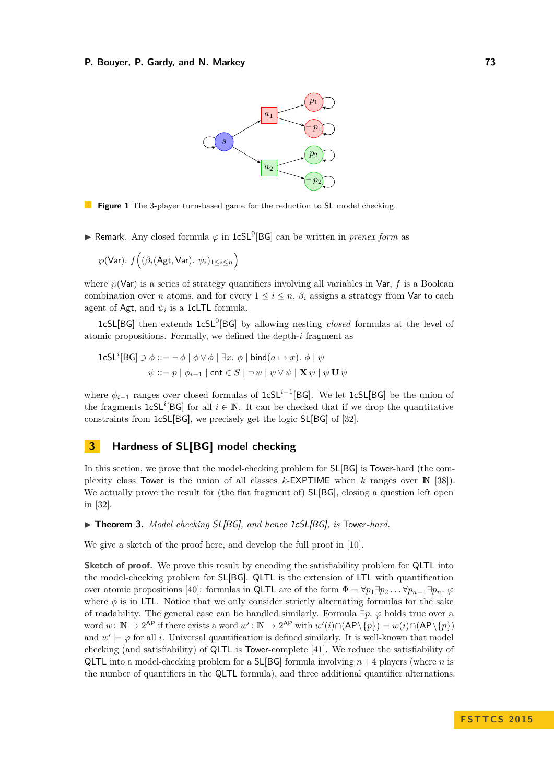<span id="page-4-0"></span>

**Figure 1** The 3-player turn-based game for the reduction to **SL** model checking.

**► Remark.** Any closed formula  $\varphi$  in 1cSL<sup>0</sup>[BG] can be written in *prenex form* as

$$
\wp(\mathsf{Var}).~f\Big((\beta_i(\mathsf{Agt},\mathsf{Var}).~\psi_i)_{1\leq i\leq n}\Big)
$$

where  $\wp(\text{Var})$  is a series of strategy quantifiers involving all variables in Var,  $f$  is a Boolean combination over *n* atoms, and for every  $1 \leq i \leq n$ ,  $\beta_i$  assigns a strategy from Var to each agent of Agt, and  $\psi_i$  is a 1cLTL formula.

1cSL[BG] then extends 1cSL<sup>0</sup>[BG] by allowing nesting *closed* formulas at the level of atomic propositions. Formally, we defined the depth-*i* fragment as

1cSL<sup>*i*</sup>[BG] 
$$
\ni \phi ::= \neg \phi \mid \phi \lor \phi \mid \exists x. \phi \mid \text{bind}(a \mapsto x). \phi \mid \psi
$$
  
 $\psi ::= p \mid \phi_{i-1} \mid \text{cnt} \in S \mid \neg \psi \mid \psi \lor \psi \mid \mathbf{X} \psi \mid \psi \mathbf{U} \psi$ 

where  $φ$ <sub>*i*−1</sub> ranges over closed formulas of 1cSL<sup>*i*−1</sup>[BG]. We let 1cSL[BG] be the union of the fragments  $1cSL^i[BG]$  for all  $i \in \mathbb{N}$ . It can be checked that if we drop the quantitative constraints from 1cSL[BG], we precisely get the logic SL[BG] of [\[32\]](#page-14-0).

# **3 Hardness of SL[BG] model checking**

In this section, we prove that the model-checking problem for SL[BG] is Tower-hard (the complexity class Tower is the union of all classes *k*-EXPTIME when *k* ranges over N [\[38\]](#page-14-16)). We actually prove the result for (the flat fragment of)  $SL[BG]$ , closing a question left open in [\[32\]](#page-14-0).

▶ **Theorem 3.** *Model checking* SL[BG]*, and hence 1cSL*[BG]*, is* Tower-hard.

We give a sketch of the proof here, and develop the full proof in [\[10\]](#page-13-21).

**Sketch of proof.** We prove this result by encoding the satisfiability problem for QLTL into the model-checking problem for SL[BG]. QLTL is the extension of LTL with quantification over atomic propositions [\[40\]](#page-14-17): formulas in QLTL are of the form  $\Phi = \forall p_1 \exists p_2 \dots \forall p_{n-1} \exists p_n \dots \varphi$ where  $\phi$  is in LTL. Notice that we only consider strictly alternating formulas for the sake of readability. The general case can be handled similarly. Formula ∃*p. ϕ* holds true over a word  $w: \mathbb{N} \to 2^{\mathsf{AP}}$  if there exists a word  $w': \mathbb{N} \to 2^{\mathsf{AP}}$  with  $w'(i) \cap (\mathsf{AP} \setminus \{p\}) = w(i) \cap (\mathsf{AP} \setminus \{p\})$ and  $w' \models \varphi$  for all *i*. Universal quantification is defined similarly. It is well-known that model checking (and satisfiability) of QLTL is Tower-complete [\[41\]](#page-14-18). We reduce the satisfiability of QLTL into a model-checking problem for a SL[BG] formula involving *n*+ 4 players (where *n* is the number of quantifiers in the QLTL formula), and three additional quantifier alternations.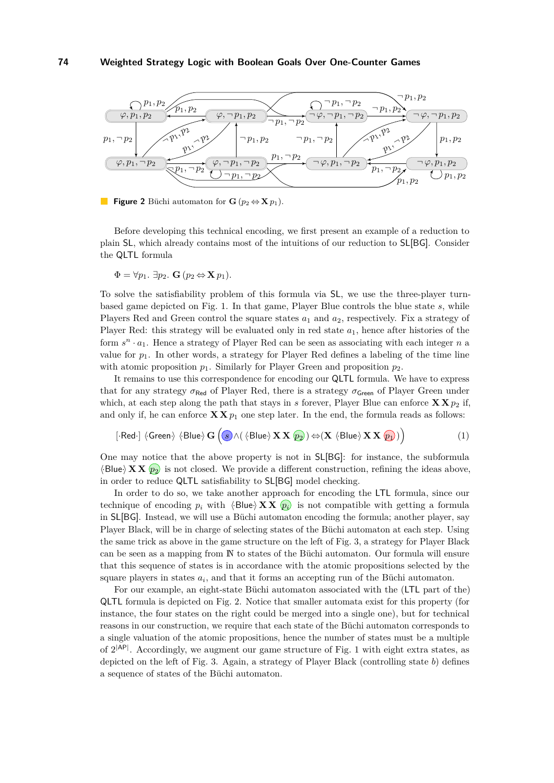<span id="page-5-0"></span>

**Figure 2** Büchi automaton for **G** ( $p_2 \Leftrightarrow$  **X**  $p_1$ ).

Before developing this technical encoding, we first present an example of a reduction to plain SL, which already contains most of the intuitions of our reduction to SL[BG]. Consider the QLTL formula

$$
\Phi = \forall p_1. \ \exists p_2. \ \mathbf{G} \ (p_2 \Leftrightarrow \mathbf{X} \ p_1).
$$

To solve the satisfiability problem of this formula via SL, we use the three-player turnbased game depicted on Fig. [1.](#page-4-0) In that game, Player Blue controls the blue state *s*, while Players Red and Green control the square states  $a_1$  and  $a_2$ , respectively. Fix a strategy of Player Red: this strategy will be evaluated only in red state *a*1, hence after histories of the form  $s^n \cdot a_1$ . Hence a strategy of Player Red can be seen as associating with each integer *n* a value for  $p_1$ . In other words, a strategy for Player Red defines a labeling of the time line with atomic proposition  $p_1$ . Similarly for Player Green and proposition  $p_2$ .

It remains to use this correspondence for encoding our QLTL formula. We have to express that for any strategy  $\sigma_{\text{Red}}$  of Player Red, there is a strategy  $\sigma_{\text{Green}}$  of Player Green under which, at each step along the path that stays in *s* forever, Player Blue can enforce  $\mathbf{X} \mathbf{X} p_2$  if, and only if, he can enforce  $\mathbf{X} \mathbf{X} p_1$  one step later. In the end, the formula reads as follows:

<span id="page-5-1"></span>
$$
[\text{-Red-}] \langle \text{Green} \rangle \langle \text{Blue} \rangle \mathbf{G} \left( \textcircled{s} \wedge (\langle \text{Blue} \rangle \mathbf{X} \mathbf{X} \text{ } \overline{\mathbf{p_2}}) \right) \Leftrightarrow (\mathbf{X} \langle \text{Blue} \rangle \mathbf{X} \mathbf{X} \text{ } \overline{\mathbf{p_1}}) \big) \tag{1}
$$

One may notice that the above property is not in SL[BG]: for instance, the subformula  $\langle$ Blue $\rangle$ **X X**  $\langle p_2 \rangle$  is not closed. We provide a different construction, refining the ideas above, in order to reduce QLTL satisfiability to SL[BG] model checking.

In order to do so, we take another approach for encoding the LTL formula, since our technique of encoding  $p_i$  with  $\langle \text{Blue} \rangle$  **X X**  $\langle p_i \rangle$  is not compatible with getting a formula in SL[BG]. Instead, we will use a Büchi automaton encoding the formula; another player, say Player Black, will be in charge of selecting states of the Büchi automaton at each step. Using the same trick as above in the game structure on the left of Fig. [3,](#page-6-0) a strategy for Player Black can be seen as a mapping from N to states of the Büchi automaton. Our formula will ensure that this sequence of states is in accordance with the atomic propositions selected by the square players in states *a<sup>i</sup>* , and that it forms an accepting run of the Büchi automaton.

For our example, an eight-state Büchi automaton associated with the (LTL part of the) QLTL formula is depicted on Fig. [2.](#page-5-0) Notice that smaller automata exist for this property (for instance, the four states on the right could be merged into a single one), but for technical reasons in our construction, we require that each state of the Büchi automaton corresponds to a single valuation of the atomic propositions, hence the number of states must be a multiple of  $2^{|AP|}$ . Accordingly, we augment our game structure of Fig. [1](#page-4-0) with eight extra states, as depicted on the left of Fig. [3.](#page-6-0) Again, a strategy of Player Black (controlling state *b*) defines a sequence of states of the Büchi automaton.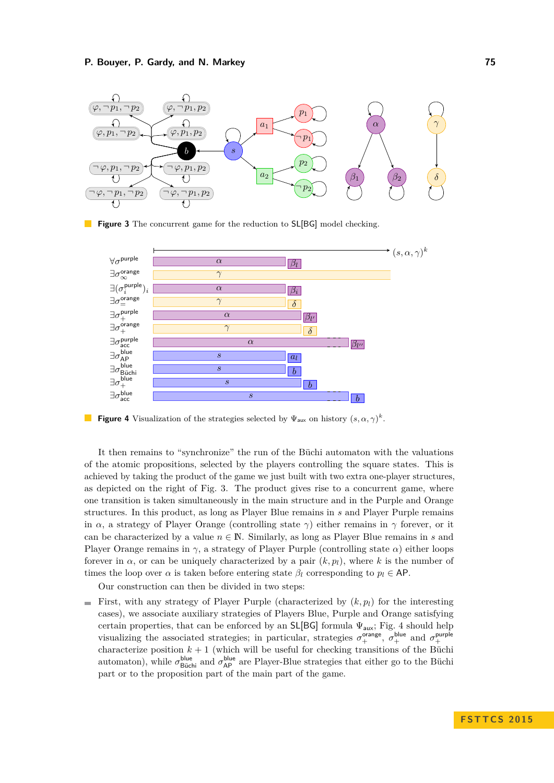<span id="page-6-0"></span>

**Figure 3** The concurrent game for the reduction to **SL[BG]** model checking.

<span id="page-6-1"></span>

**Figure 4** Visualization of the strategies selected by  $\Psi_{\text{aux}}$  on history  $(s, \alpha, \gamma)^k$ .

It then remains to "synchronize" the run of the Büchi automaton with the valuations of the atomic propositions, selected by the players controlling the square states. This is achieved by taking the product of the game we just built with two extra one-player structures, as depicted on the right of Fig. [3.](#page-6-0) The product gives rise to a concurrent game, where one transition is taken simultaneously in the main structure and in the Purple and Orange structures. In this product, as long as Player Blue remains in *s* and Player Purple remains in *α*, a strategy of Player Orange (controlling state  $\gamma$ ) either remains in  $\gamma$  forever, or it can be characterized by a value  $n \in \mathbb{N}$ . Similarly, as long as Player Blue remains in *s* and Player Orange remains in  $\gamma$ , a strategy of Player Purple (controlling state  $\alpha$ ) either loops forever in  $\alpha$ , or can be uniquely characterized by a pair  $(k, p_l)$ , where *k* is the number of times the loop over  $\alpha$  is taken before entering state  $\beta_l$  corresponding to  $p_l \in \mathsf{AP}$ .

Our construction can then be divided in two steps:

First, with any strategy of Player Purple (characterized by  $(k, p_l)$ ) for the interesting cases), we associate auxiliary strategies of Players Blue, Purple and Orange satisfying certain properties, that can be enforced by an  $SL[BG]$  formula  $\Psi_{\text{aux}}$ ; Fig. [4](#page-6-1) should help visualizing the associated strategies; in particular, strategies  $\sigma_+^{\text{orange}}, \sigma_+^{\text{blue}}$  and  $\sigma_+^{\text{purple}}$ characterize position  $k + 1$  (which will be useful for checking transitions of the Büchi automaton), while  $\sigma_{\text{Büchi}}^{\text{blue}}$  and  $\sigma_{\text{AP}}^{\text{blue}}$  are Player-Blue strategies that either go to the Büchi part or to the proposition part of the main part of the game.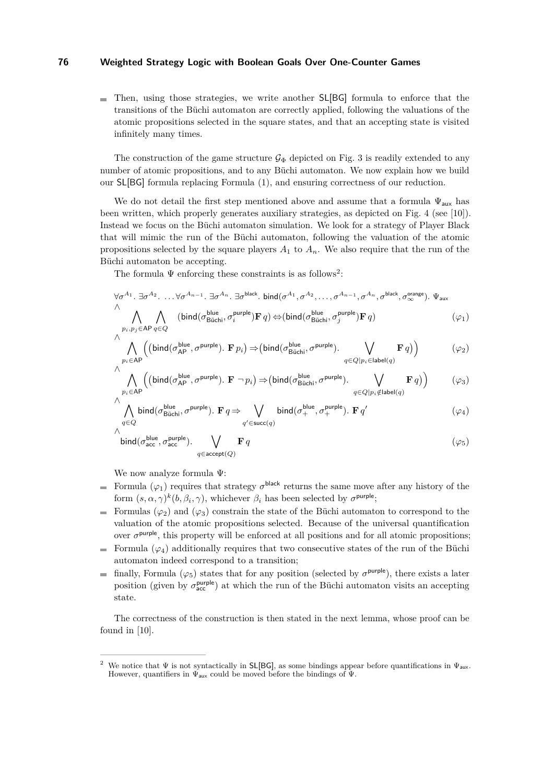Then, using those strategies, we write another SL[BG] formula to enforce that the transitions of the Büchi automaton are correctly applied, following the valuations of the atomic propositions selected in the square states, and that an accepting state is visited infinitely many times.

The construction of the game structure  $\mathcal{G}_{\Phi}$  depicted on Fig. [3](#page-6-0) is readily extended to any number of atomic propositions, and to any Büchi automaton. We now explain how we build our SL[BG] formula replacing Formula [\(1\)](#page-5-1), and ensuring correctness of our reduction.

We do not detail the first step mentioned above and assume that a formula  $\Psi_{\text{aux}}$  has been written, which properly generates auxiliary strategies, as depicted on Fig. [4](#page-6-1) (see [\[10\]](#page-13-21)). Instead we focus on the Büchi automaton simulation. We look for a strategy of Player Black that will mimic the run of the Büchi automaton, following the valuation of the atomic propositions selected by the square players  $A_1$  to  $A_n$ . We also require that the run of the Büchi automaton be accepting.

The formula  $\Psi$  enforcing these constraints is as follows<sup>[2](#page-7-0)</sup>:

<span id="page-7-1"></span>
$$
\forall \sigma^{A_1} \ldots \exists \sigma^{A_2} \ldots \forall \sigma^{A_{n-1}} \ldots \exists \sigma^{A_n} \ldots \exists \sigma^{\text{black}}. \text{ bind}(\sigma^{A_1}, \sigma^{A_2}, \ldots, \sigma^{A_{n-1}}, \sigma^{A_n}, \sigma^{\text{black}}, \sigma^{\text{crange}}_{\infty}). \ \Psi_{\text{aux}}
$$
\n
$$
\bigwedge_{p_i, p_j \in \mathsf{AP}} \bigwedge_{q \in Q} (\text{bind}(\sigma^{\text{blue}}_{\text{Büchi}}, \sigma^{\text{purple}}_i) \mathbf{F} q) \Leftrightarrow (\text{bind}(\sigma^{\text{blue}}_{\text{Büchi}}, \sigma^{\text{purple}}_j) \mathbf{F} q) \tag{91}
$$

<span id="page-7-2"></span>
$$
\wedge \bigwedge_{p_i \in \mathsf{AP}} \Bigl( \bigl( \mathsf{bind}(\sigma_{\mathsf{AP}}^{\mathsf{blue}}, \sigma^{\mathsf{purple}}). \ \mathbf{F} \, p_i \bigr) \Rightarrow \bigr( \mathsf{bind}(\sigma_{\mathsf{Büchi}}^{\mathsf{blue}}, \sigma^{\mathsf{purple}}). \ \bigvee_{q \in Q \mid p_i \in \mathsf{label}(q)} \mathbf{F} \, q \bigr) \Bigr) \tag{$\varphi_2$}
$$

<span id="page-7-3"></span>
$$
\wedge \bigwedge_{p_i \in \mathsf{AP}} \Bigl( \left( \mathsf{bind}(\sigma_{\mathsf{AP}}^{\mathsf{blue}}, \sigma^{\mathsf{purple}}). \ \mathbf{F} \ \neg \ p_i \right) \Rightarrow \left( \mathsf{bind}(\sigma_{\mathsf{Büchi}}^{\mathsf{blue}}, \sigma^{\mathsf{purple}}). \ \bigvee_{q \in Q \mid p_i \notin \mathsf{label}(q)} \mathbf{F} \ q \right) \Bigr) \tag{$\varphi_3$}
$$

$$
\bigwedge_{q \in Q} \text{bind}(\sigma_{\text{Büchi}}^{\text{blue}}, \sigma^{\text{purple}}). \mathbf{F} q \Rightarrow \bigvee_{q' \in \text{succ}(q)} \text{bind}(\sigma_{+}^{\text{blue}}, \sigma_{+}^{\text{purple}}). \mathbf{F} q' \tag{94}
$$

<span id="page-7-5"></span><span id="page-7-4"></span>
$$
\int_{\text{bind}}^{\text{blue}} (\sigma_{\text{acc}}^{\text{blue}}, \sigma_{\text{acc}}^{\text{purple}}). \sum_{q \in \text{accept}(Q)} \mathbf{F} q
$$

We now analyze formula Ψ:

∧

- Formula  $(\varphi_1)$  requires that strategy  $\sigma^{\text{black}}$  returns the same move after any history of the form  $(s, \alpha, \gamma)^k(b, \beta_i, \gamma)$ , whichever  $\beta_i$  has been selected by  $\sigma^{\text{purple}}$ ;
- Formulas  $(\varphi_2)$  and  $(\varphi_3)$  constrain the state of the Büchi automaton to correspond to the  $\blacksquare$ valuation of the atomic propositions selected. Because of the universal quantification over  $\sigma^{\text{purple}}$ , this property will be enforced at all positions and for all atomic propositions;
- Formula  $(\varphi_4)$  additionally requires that two consecutive states of the run of the Büchi automaton indeed correspond to a transition;
- finally, Formula  $(\varphi_5)$  states that for any position (selected by  $\sigma^{\text{purple}}$ ), there exists a later  $\equiv$ position (given by  $\sigma_{\text{acc}}^{\text{purple}}$ ) at which the run of the Büchi automaton visits an accepting state.

The correctness of the construction is then stated in the next lemma, whose proof can be found in [\[10\]](#page-13-21).

<span id="page-7-0"></span><sup>&</sup>lt;sup>2</sup> We notice that  $\Psi$  is not syntactically in SL[BG], as some bindings appear before quantifications in  $\Psi_{\text{aux}}$ . However, quantifiers in  $\Psi_{\text{aux}}$  could be moved before the bindings of  $\Psi$ .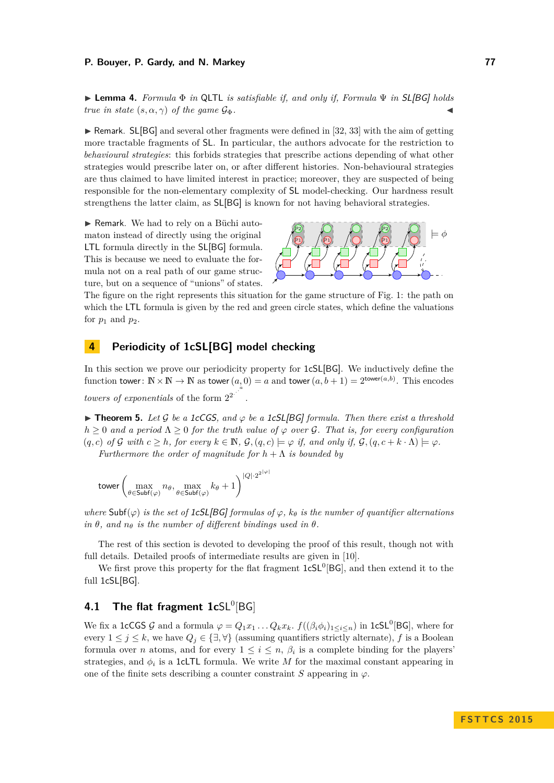I **Lemma 4.** *Formula* Φ *in* QLTL *is satisfiable if, and only if, Formula* Ψ *in* SL[BG] *holds true in state*  $(s, \alpha, \gamma)$  *of the game*  $\mathcal{G}_{\Phi}$ *.* 

 $\triangleright$  Remark. SL[BG] and several other fragments were defined in [\[32,](#page-14-0) [33\]](#page-14-7) with the aim of getting more tractable fragments of SL. In particular, the authors advocate for the restriction to *behavioural strategies*: this forbids strategies that prescribe actions depending of what other strategies would prescribe later on, or after different histories. Non-behavioural strategies are thus claimed to have limited interest in practice; moreover, they are suspected of being responsible for the non-elementary complexity of SL model-checking. Our hardness result strengthens the latter claim, as SL[BG] is known for not having behavioral strategies.

▶ Remark. We had to rely on a Büchi automaton instead of directly using the original LTL formula directly in the SL[BG] formula. This is because we need to evaluate the formula not on a real path of our game structure, but on a sequence of "unions" of states.



The figure on the right represents this situation for the game structure of Fig. [1:](#page-4-0) the path on which the LTL formula is given by the red and green circle states, which define the valuations for  $p_1$  and  $p_2$ .

# **4 Periodicity of 1cSL[BG] model checking**

In this section we prove our periodicity property for 1cSL[BG]. We inductively define the function tower:  $\mathbb{N} \times \mathbb{N} \to \mathbb{N}$  as tower $(a, 0) = a$  and tower $(a, b + 1) = 2^{\text{tower}(a, b)}$ . This encodes *towers of exponentials* of the form  $2^{2}$ .

<span id="page-8-0"></span> $\triangleright$  **Theorem 5.** Let G be a 1cCGS, and  $\varphi$  be a 1cSL[BG] formula. Then there exist a threshold  $h \geq 0$  *and a period*  $\Lambda \geq 0$  *for the truth value of*  $\varphi$  *over*  $\mathcal{G}$ *. That is, for every configuration*  $(q, c)$  *of* G *with*  $c \geq h$ *, for every*  $k \in \mathbb{N}$ *,*  $\mathcal{G}, (q, c) \models \varphi$  *if, and only if,*  $\mathcal{G}, (q, c + k \cdot \Lambda) \models \varphi$ *.* 

*Furthermore the order of magnitude for*  $h + \Lambda$  *is bounded by* 

$$
\text{tower}\left(\max_{\theta\in\text{Subf}(\varphi)}n_\theta,\max_{\theta\in\text{Subf}(\varphi)}k_\theta+1\right)^{|Q|\cdot 2^{2|\varphi|}}
$$

*where*  $\textsf{Subf}(\varphi)$  *is the set of* 1cSL[BG] *formulas of*  $\varphi$ *,*  $k_{\theta}$  *is the number of quantifier alternations*  $in \theta$ *, and*  $n_{\theta}$  *is the number of different bindings used in*  $\theta$ *.* 

The rest of this section is devoted to developing the proof of this result, though not with full details. Detailed proofs of intermediate results are given in [\[10\]](#page-13-21).

We first prove this property for the flat fragment  $1cSL<sup>0</sup>[BG]$ , and then extend it to the full 1cSL[BG].

# **4.1 The flat fragment 1cSL<sup>0</sup>[BG]**

We fix a 1cCGS G and a formula  $\varphi = Q_1 x_1 \dots Q_k x_k$ *.*  $f((\beta_i \phi_i)_{1 \leq i \leq n})$  in 1cSL<sup>0</sup>[BG], where for every  $1 \leq j \leq k$ , we have  $Q_j \in \{\exists, \forall\}$  (assuming quantifiers strictly alternate), f is a Boolean formula over *n* atoms, and for every  $1 \leq i \leq n$ ,  $\beta_i$  is a complete binding for the players' strategies, and  $\phi_i$  is a 1cLTL formula. We write *M* for the maximal constant appearing in one of the finite sets describing a counter constraint  $S$  appearing in  $\varphi$ .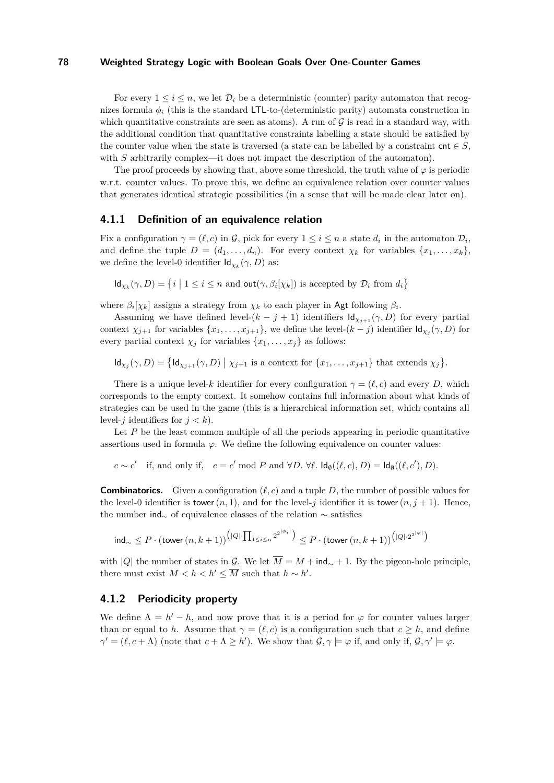For every  $1 \leq i \leq n$ , we let  $\mathcal{D}_i$  be a deterministic (counter) parity automaton that recognizes formula  $\phi_i$  (this is the standard LTL-to-(deterministic parity) automata construction in which quantitative constraints are seen as atoms). A run of  $\mathcal G$  is read in a standard way, with the additional condition that quantitative constraints labelling a state should be satisfied by the counter value when the state is traversed (a state can be labelled by a constraint cnt  $\in S$ , with *S* arbitrarily complex—it does not impact the description of the automaton).

The proof proceeds by showing that, above some threshold, the truth value of  $\varphi$  is periodic w.r.t. counter values. To prove this, we define an equivalence relation over counter values that generates identical strategic possibilities (in a sense that will be made clear later on).

### **4.1.1 Definition of an equivalence relation**

Fix a configuration  $\gamma = (\ell, c)$  in G, pick for every  $1 \leq i \leq n$  a state  $d_i$  in the automaton  $\mathcal{D}_i$ , and define the tuple  $D = (d_1, \ldots, d_n)$ . For every context  $\chi_k$  for variables  $\{x_1, \ldots, x_k\}$ , we define the level-0 identifier  $\mathsf{Id}_{\chi_k}(\gamma, D)$  as:

 $\mathsf{Id}_{\chi_k}(\gamma, D) = \{i \mid 1 \leq i \leq n \text{ and } \mathsf{out}(\gamma, \beta_i[\chi_k]) \text{ is accepted by } \mathcal{D}_i \text{ from } d_i\}$ 

where  $\beta_i[\chi_k]$  assigns a strategy from  $\chi_k$  to each player in Agt following  $\beta_i$ .

Assuming we have defined level- $(k - j + 1)$  identifiers  $\mathsf{Id}_{\chi_{i+1}}(\gamma, D)$  for every partial context  $\chi_{j+1}$  for variables  $\{x_1, \ldots, x_{j+1}\}$ , we define the level- $(k-j)$  identifier  $\mathsf{Id}_{\chi_j}(\gamma, D)$  for every partial context  $\chi_j$  for variables  $\{x_1, \ldots, x_j\}$  as follows:

 $\mathsf{Id}_{\chi_j}(\gamma, D) = \{\mathsf{Id}_{\chi_{j+1}}(\gamma, D) \mid \chi_{j+1} \text{ is a context for } \{x_1, \ldots, x_{j+1}\} \text{ that extends } \chi_j\}.$ 

There is a unique level-*k* identifier for every configuration  $\gamma = (\ell, c)$  and every *D*, which corresponds to the empty context. It somehow contains full information about what kinds of strategies can be used in the game (this is a hierarchical information set, which contains all level-*j* identifiers for  $j < k$ ).

Let *P* be the least common multiple of all the periods appearing in periodic quantitative assertions used in formula *ϕ*. We define the following equivalence on counter values:

 $c \sim c'$  if, and only if,  $c = c' \mod P$  and  $\forall D$ .  $\forall \ell$ .  $\mathsf{Id}_{\emptyset}((\ell, c), D) = \mathsf{Id}_{\emptyset}((\ell, c'), D)$ *.* 

**Combinatorics.** Given a configuration  $(\ell, c)$  and a tuple D, the number of possible values for the level-0 identifier is tower $(n, 1)$ , and for the level-*j* identifier it is tower $(n, j + 1)$ . Hence, the number ind<sub>∼</sub> of equivalence classes of the relation  $\sim$  satisfies

$$
\operatorname{ind}_{\sim} \leq P \cdot (\operatorname{tower} (n,k+1))^{ \left( |Q| \cdot \prod_{1 \leq i \leq n} 2^{ 2^{ \lfloor \phi_i \rfloor }} \right) } \leq P \cdot (\operatorname{tower} (n,k+1))^{ \left( |Q| \cdot 2^{ 2^{ \lfloor \varphi \rfloor }} \right) }
$$

with |*Q*| the number of states in G. We let  $\overline{M} = M + \text{ind}_{\sim} + 1$ . By the pigeon-hole principle, there must exist  $M < h < h' \leq \overline{M}$  such that  $h \sim h'$ .

### **4.1.2 Periodicity property**

We define  $\Lambda = h' - h$ , and now prove that it is a period for  $\varphi$  for counter values larger than or equal to *h*. Assume that  $\gamma = (\ell, c)$  is a configuration such that  $c \geq h$ , and define  $\gamma' = (\ell, c + \Lambda)$  (note that  $c + \Lambda \geq h'$ ). We show that  $\mathcal{G}, \gamma \models \varphi$  if, and only if,  $\mathcal{G}, \gamma' \models \varphi$ .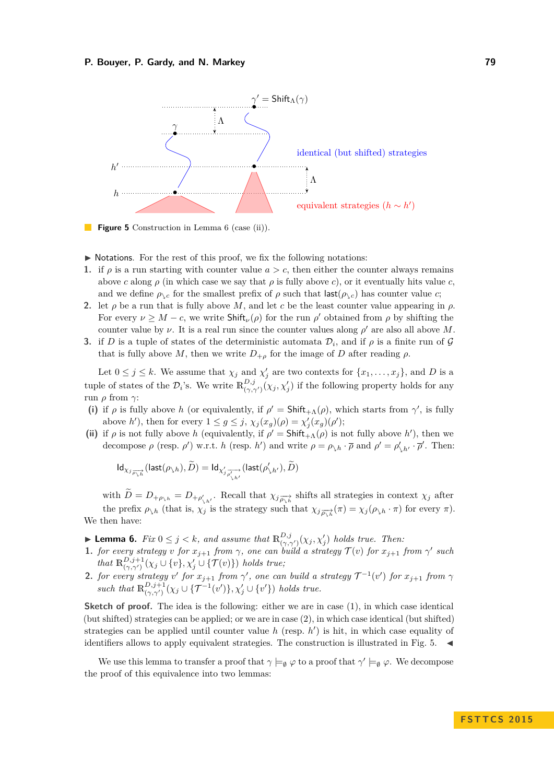<span id="page-10-3"></span>

**Figure 5** Construction in Lemma [6](#page-10-0) (case (ii)).  $\mathbb{R}^n$ 

- $\triangleright$  Notations. For the rest of this proof, we fix the following notations:
- **1.** if  $\rho$  is a run starting with counter value  $a > c$ , then either the counter always remains above *c* along  $\rho$  (in which case we say that  $\rho$  is fully above *c*), or it eventually hits value *c*, and we define  $\rho_{\setminus c}$  for the smallest prefix of  $\rho$  such that  $\text{last}(\rho_{\setminus c})$  has counter value *c*;
- **2.** let  $\rho$  be a run that is fully above *M*, and let *c* be the least counter value appearing in  $\rho$ . For every  $\nu \geq M - c$ , we write  $\textsf{Shift}_{\nu}(\rho)$  for the run  $\rho'$  obtained from  $\rho$  by shifting the counter value by  $\nu$ . It is a real run since the counter values along  $\rho'$  are also all above M.
- **3.** if *D* is a tuple of states of the deterministic automata  $\mathcal{D}_i$ , and if  $\rho$  is a finite run of  $\mathcal{G}$ that is fully above M, then we write  $D_{+o}$  for the image of D after reading  $\rho$ .

Let  $0 \leq j \leq k$ . We assume that  $\chi_j$  and  $\chi'_j$  are two contexts for  $\{x_1, \ldots, x_j\}$ , and *D* is a tuple of states of the  $\mathcal{D}_i$ 's. We write  $\mathbb{R}_{(\gamma,\gamma')}^{D,j}(\chi_j,\chi'_j)$  if the following property holds for any run *ρ* from *γ*:

- <span id="page-10-1"></span>(i) if  $\rho$  is fully above *h* (or equivalently, if  $\rho' = \mathsf{Shift}_{+A}(\rho)$ , which starts from  $\gamma'$ , is fully above *h*'), then for every  $1 \le g \le j$ ,  $\chi_j(x_g)(\rho) = \chi'_j(x_g)(\rho')$ ;
- <span id="page-10-2"></span>(ii) if  $\rho$  is not fully above *h* (equivalently, if  $\rho' = \mathsf{Shift}_{+A}(\rho)$  is not fully above *h'*), then we decompose  $\rho$  (resp.  $\rho'$ ) w.r.t. *h* (resp. *h'*) and write  $\rho = \rho_{\lambda h} \cdot \overline{\rho}$  and  $\rho' = \rho'_{\lambda h'} \cdot \overline{\rho}'$ . Then:

$$
Id_{\chi_{\widetilde{J_{\rho_{\lambda}h}}}}(\mathsf{last}(\rho_{\lambda h}), \widetilde{D}) = Id_{\chi'_{\widetilde{J_{\rho'_{\lambda h'}}}}}(\mathsf{last}(\rho'_{\lambda h'}), \widetilde{D})
$$

with  $D = D_{+\rho_{\lambda h}} = D_{+\rho'_{\lambda h'}}$ . Recall that  $\chi_j \frac{\partial}{\partial \lambda h}$  shifts all strategies in context  $\chi_j$  after the prefix  $\rho_{\lambda h}$  (that is,  $\chi_j$  is the strategy such that  $\chi_j \frac{1}{\rho_{\lambda h}}(\pi) = \chi_j(\rho_{\lambda h} \cdot \pi)$  for every  $\pi$ ). We then have:

- <span id="page-10-0"></span>**Example 1.** *Fix*  $0 \leq j < k$ *, and assume that*  $\mathbb{R}_{(\gamma,\gamma')}^{D,j}(\chi_j,\chi'_j)$  *holds true. Then:*
- **1.** *for every strategy v for*  $x_{j+1}$  *from*  $\gamma$ *, one can build a strategy*  $\mathcal{T}(v)$  *for*  $x_{j+1}$  *from*  $\gamma'$  *such that*  $\mathbb{R}^{D,j+1}_{(\gamma,\gamma')}(\chi_j \cup \{v\}, \chi'_j \cup \{\mathcal{T}(v)\})$  *holds true*;
- **2.** *for every strategy v*<sup>'</sup> *for*  $x_{j+1}$  *from*  $\gamma'$ , *one can build a strategy*  $\mathcal{T}^{-1}(v')$  *for*  $x_{j+1}$  *from*  $\gamma$ such that  $\mathbb{R}^{D,j+1}_{(\gamma,\gamma')}(\chi_j \cup \{\mathcal{T}^{-1}(v')\}, \chi'_j \cup \{v'\})$  holds true.

**Sketch of proof.** The idea is the following: either we are in case [\(1\)](#page-10-1), in which case identical (but shifted) strategies can be applied; or we are in case [\(2\)](#page-10-2), in which case identical (but shifted) strategies can be applied until counter value  $h$  (resp.  $h'$ ) is hit, in which case equality of identifiers allows to apply equivalent strategies. The construction is illustrated in Fig.  $5.$ 

We use this lemma to transfer a proof that  $\gamma \models_{\emptyset} \varphi$  to a proof that  $\gamma' \models_{\emptyset} \varphi$ . We decompose the proof of this equivalence into two lemmas: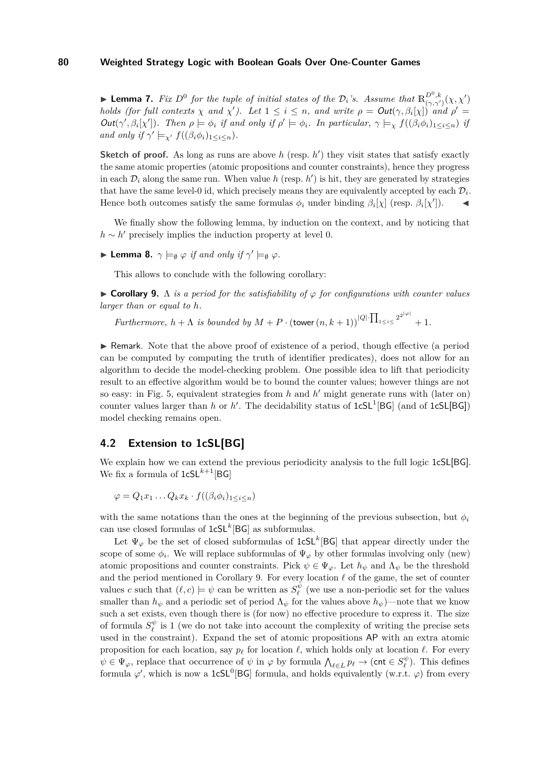**Lemma 7.** *Fix*  $D^0$  *for the tuple of initial states of the*  $\mathcal{D}_i$ *'s. Assume that*  $\mathbb{R}^{D^0,k}_{(\gamma,\gamma')}(\chi,\chi')$ *holds* (for full contexts  $\chi$  and  $\chi'$ ). Let  $1 \leq i \leq n$ , and write  $\rho = Out(\gamma, \beta_i[\chi])$  and  $\rho' =$  $Out(\gamma', \beta_i[\chi'])$ . Then  $\rho \models \phi_i$  if and only if  $\rho' \models \phi_i$ . In particular,  $\gamma \models_{\chi} f((\beta_i \phi_i)_{1 \leq i \leq n})$  if *and only if*  $\gamma' \models_{\chi'} f((\beta_i \phi_i)_{1 \leq i \leq n}).$ 

**Sketch of proof.** As long as runs are above  $h$  (resp.  $h'$ ) they visit states that satisfy exactly the same atomic properties (atomic propositions and counter constraints), hence they progress in each  $\mathcal{D}_i$  along the same run. When value  $h$  (resp.  $h'$ ) is hit, they are generated by strategies that have the same level-0 id, which precisely means they are equivalently accepted by each  $\mathcal{D}_i$ . Hence both outcomes satisfy the same formulas  $\phi_i$  under binding  $\beta_i[\chi]$  (resp.  $\beta_i[\chi']$ ).

We finally show the following lemma, by induction on the context, and by noticing that  $h \sim h'$  precisely implies the induction property at level 0.

 $\blacktriangleright$  **Lemma 8.**  $\gamma \models_{\emptyset} \varphi$  *if and only if*  $\gamma' \models_{\emptyset} \varphi$ *.* 

This allows to conclude with the following corollary:

<span id="page-11-0"></span> $\triangleright$  **Corollary 9.** A *is a period for the satisfiability of*  $\varphi$  *for configurations with counter values larger than or equal to h.*

*Furthermore,*  $h + \Lambda$  *is bounded by*  $M + P \cdot (\text{tower } (n, k+1))^{|Q|} \cdot \prod_{1 \leq i \leq 2^{2^{|Q|}}} + 1$ .

 $\triangleright$  Remark. Note that the above proof of existence of a period, though effective (a period can be computed by computing the truth of identifier predicates), does not allow for an algorithm to decide the model-checking problem. One possible idea to lift that periodicity result to an effective algorithm would be to bound the counter values; however things are not so easy: in Fig. [5,](#page-10-3) equivalent strategies from  $h$  and  $h'$  might generate runs with (later on) counter values larger than *h* or *h*'. The decidability status of  $1cSL<sup>1</sup>[BG]$  (and of  $1cSL[BG]$ ) model checking remains open.

# **4.2 Extension to 1cSL[BG]**

We explain how we can extend the previous periodicity analysis to the full logic 1cSL[BG]. We fix a formula of  $1cSL^{k+1}[BG]$ 

$$
\varphi = Q_1 x_1 \dots Q_k x_k \cdot f((\beta_i \phi_i)_{1 \leq i \leq n})
$$

with the same notations than the ones at the beginning of the previous subsection, but  $\phi_i$ can use closed formulas of  $1cSL<sup>k</sup>[BG]$  as subformulas.

Let  $\Psi_{\varphi}$  be the set of closed subformulas of  $1cSL^k[BG]$  that appear directly under the scope of some  $\phi_i$ . We will replace subformulas of  $\Psi_\varphi$  by other formulas involving only (new) atomic propositions and counter constraints. Pick  $\psi \in \Psi_{\varphi}$ . Let  $h_{\psi}$  and  $\Lambda_{\psi}$  be the threshold and the period mentioned in Corollary [9.](#page-11-0) For every location  $\ell$  of the game, the set of counter values *c* such that  $(\ell, c) \models \psi$  can be written as  $S_{\ell}^{\psi}$  (we use a non-periodic set for the values smaller than  $h_{\psi}$  and a periodic set of period  $\Lambda_{\psi}$  for the values above  $h_{\psi}$ )—note that we know such a set exists, even though there is (for now) no effective procedure to express it. The size of formula  $S_{\ell}^{\psi}$  is 1 (we do not take into account the complexity of writing the precise sets used in the constraint). Expand the set of atomic propositions AP with an extra atomic proposition for each location, say  $p_\ell$  for location  $\ell$ , which holds only at location  $\ell$ . For every  $\psi \in \Psi_{\varphi}$ , replace that occurrence of  $\psi$  in  $\varphi$  by formula  $\bigwedge_{\ell \in L} p_{\ell} \to (\text{cnt} \in S_{\ell}^{\psi})$ . This defines formula  $\varphi'$ , which is now a 1cSL<sup>0</sup>[BG] formula, and holds equivalently (w.r.t.  $\varphi$ ) from every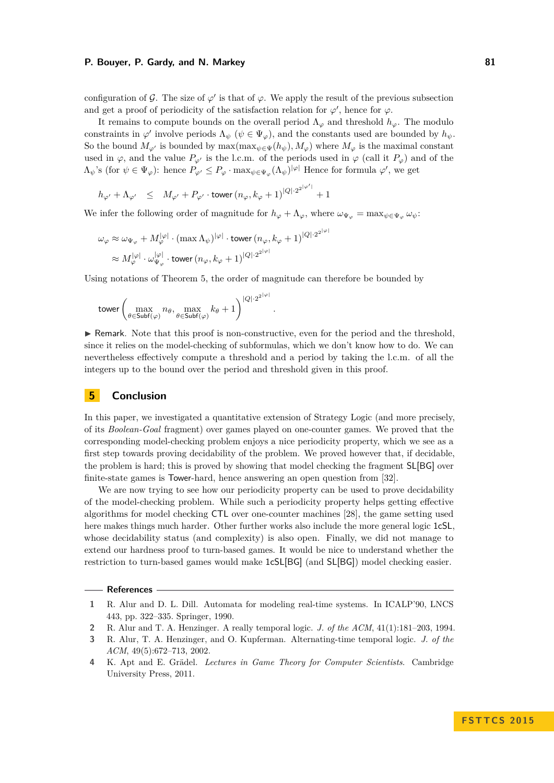configuration of  $\mathcal{G}$ . The size of  $\varphi'$  is that of  $\varphi$ . We apply the result of the previous subsection and get a proof of periodicity of the satisfaction relation for  $\varphi'$ , hence for  $\varphi$ .

It remains to compute bounds on the overall period  $\Lambda_{\varphi}$  and threshold  $h_{\varphi}$ . The modulo constraints in  $\varphi'$  involve periods  $\Lambda_{\psi}$  ( $\psi \in \Psi_{\varphi}$ ), and the constants used are bounded by  $h_{\psi}$ . So the bound  $M_{\varphi'}$  is bounded by  $\max(\max_{\psi \in \Psi}(h_{\psi}), M_{\varphi})$  where  $M_{\varphi}$  is the maximal constant used in  $\varphi$ , and the value  $P_{\varphi}$  is the l.c.m. of the periods used in  $\varphi$  (call it  $P_{\varphi}$ ) and of the  $\Lambda_{\psi}$ 's (for  $\psi \in \Psi_{\varphi}$ ): hence  $P_{\varphi'} \leq P_{\varphi} \cdot \max_{\psi \in \Psi_{\varphi}} (\Lambda_{\psi})^{|\varphi|}$  Hence for formula  $\varphi'$ , we get

$$
h_{\varphi'}+\Lambda_{\varphi'} \quad \leq \quad M_{\varphi'}+P_{\varphi'}\cdot \text{tower} \, (n_\varphi,k_\varphi+1)^{|Q|\cdot 2^{2^{|\varphi'|}}}+1
$$

We infer the following order of magnitude for  $h_{\varphi} + \Lambda_{\varphi}$ , where  $\omega_{\Psi_{\varphi}} = \max_{\psi \in \Psi_{\varphi}} \omega_{\psi}$ :

$$
\begin{aligned} \omega_\varphi &\approx \omega_{\Psi_\varphi} + M_\varphi^{|\varphi|} \cdot (\max \Lambda_\psi)^{|\varphi|} \cdot \text{tower} \, (n_\varphi, k_\varphi + 1)^{|Q| \cdot 2^{2|\varphi|}} \\ &\approx M_\varphi^{|\varphi|} \cdot \omega_{\Psi_\varphi}^{|\varphi|} \cdot \text{tower} \, (n_\varphi, k_\varphi + 1)^{|Q| \cdot 2^{2|\varphi|}} \end{aligned}
$$

Using notations of Theorem [5,](#page-8-0) the order of magnitude can therefore be bounded by

$$
\text{tower}\left(\max_{\theta\in\text{Subf}(\varphi)}n_\theta,\max_{\theta\in\text{Subf}(\varphi)}k_\theta+1\right)^{|Q|\cdot 2^{2|\varphi|}}
$$

 $\triangleright$  Remark. Note that this proof is non-constructive, even for the period and the threshold, since it relies on the model-checking of subformulas, which we don't know how to do. We can nevertheless effectively compute a threshold and a period by taking the l.c.m. of all the integers up to the bound over the period and threshold given in this proof.

*.*

### **5 Conclusion**

In this paper, we investigated a quantitative extension of Strategy Logic (and more precisely, of its *Boolean-Goal* fragment) over games played on one-counter games. We proved that the corresponding model-checking problem enjoys a nice periodicity property, which we see as a first step towards proving decidability of the problem. We proved however that, if decidable, the problem is hard; this is proved by showing that model checking the fragment SL[BG] over finite-state games is Tower-hard, hence answering an open question from [\[32\]](#page-14-0).

We are now trying to see how our periodicity property can be used to prove decidability of the model-checking problem. While such a periodicity property helps getting effective algorithms for model checking CTL over one-counter machines [\[28\]](#page-14-11), the game setting used here makes things much harder. Other further works also include the more general logic 1cSL, whose decidability status (and complexity) is also open. Finally, we did not manage to extend our hardness proof to turn-based games. It would be nice to understand whether the restriction to turn-based games would make 1cSL[BG] (and SL[BG]) model checking easier.

### **References**

<span id="page-12-1"></span>**2** R. Alur and T. A. Henzinger. A really temporal logic. *J. of the ACM*, 41(1):181–203, 1994.

<span id="page-12-2"></span>**4** K. Apt and E. Grädel. *Lectures in Game Theory for Computer Scientists*. Cambridge University Press, 2011.

<span id="page-12-0"></span>**<sup>1</sup>** R. Alur and D. L. Dill. Automata for modeling real-time systems. In ICALP'90, LNCS 443, pp. 322–335. Springer, 1990.

<span id="page-12-3"></span>**<sup>3</sup>** R. Alur, T. A. Henzinger, and O. Kupferman. Alternating-time temporal logic. *J. of the ACM*, 49(5):672–713, 2002.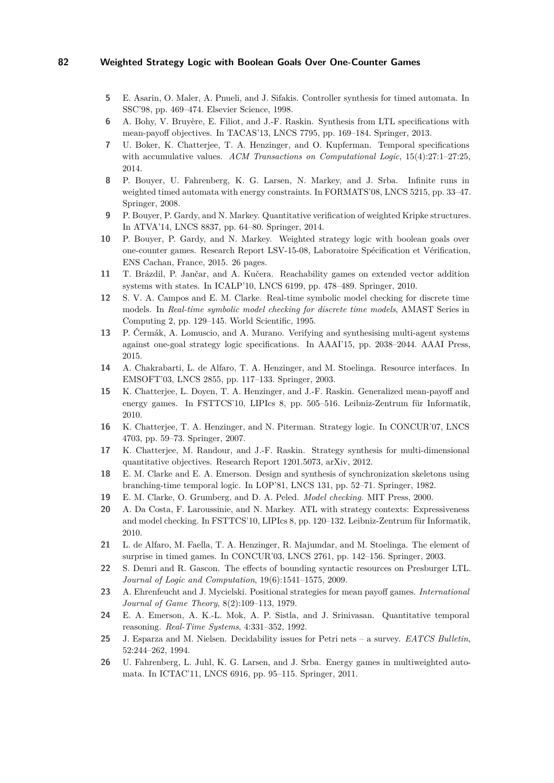- <span id="page-13-14"></span>**5** E. Asarin, O. Maler, A. Pnueli, and J. Sifakis. Controller synthesis for timed automata. In SSC'98, pp. 469–474. Elsevier Science, 1998.
- <span id="page-13-20"></span>**6** A. Bohy, V. Bruyère, E. Filiot, and J.-F. Raskin. Synthesis from LTL specifications with mean-payoff objectives. In TACAS'13, LNCS 7795, pp. 169–184. Springer, 2013.
- <span id="page-13-5"></span>**7** U. Boker, K. Chatterjee, T. A. Henzinger, and O. Kupferman. Temporal specifications with accumulative values. *ACM Transactions on Computational Logic*, 15(4):27:1–27:25, 2014.
- <span id="page-13-12"></span>**8** P. Bouyer, U. Fahrenberg, K. G. Larsen, N. Markey, and J. Srba. Infinite runs in weighted timed automata with energy constraints. In FORMATS'08, LNCS 5215, pp. 33–47. Springer, 2008.
- <span id="page-13-6"></span>**9** P. Bouyer, P. Gardy, and N. Markey. Quantitative verification of weighted Kripke structures. In ATVA'14, LNCS 8837, pp. 64–80. Springer, 2014.
- <span id="page-13-21"></span>**10** P. Bouyer, P. Gardy, and N. Markey. [Weighted strategy logic with boolean goals over](http://www.lsv.ens-cachan.fr/Publis/RAPPORTS_LSV/PDF/ rr-lsv-2015-06.pdf) [one-counter games.](http://www.lsv.ens-cachan.fr/Publis/RAPPORTS_LSV/PDF/ rr-lsv-2015-06.pdf) Research Report LSV-15-08, Laboratoire Spécification et Vérification, ENS Cachan, France, 2015. 26 pages.
- <span id="page-13-13"></span>**11** T. Brázdil, P. Jančar, and A. Kučera. Reachability games on extended vector addition systems with states. In ICALP'10, LNCS 6199, pp. 478–489. Springer, 2010.
- <span id="page-13-2"></span>**12** S. V. A. Campos and E. M. Clarke. Real-time symbolic model checking for discrete time models. In *Real-time symbolic model checking for discrete time models*, AMAST Series in Computing 2, pp. 129–145. World Scientific, 1995.
- <span id="page-13-9"></span>**13** P. Čermák, A. Lomuscio, and A. Murano. Verifying and synthesising multi-agent systems against one-goal strategy logic specifications. In AAAI'15, pp. 2038–2044. AAAI Press, 2015.
- <span id="page-13-11"></span>**14** A. Chakrabarti, L. de Alfaro, T. A. Henzinger, and M. Stoelinga. Resource interfaces. In EMSOFT'03, LNCS 2855, pp. 117–133. Springer, 2003.
- <span id="page-13-16"></span>**15** K. Chatterjee, L. Doyen, T. A. Henzinger, and J.-F. Raskin. Generalized mean-payoff and energy games. In FSTTCS'10, LIPIcs 8, pp. 505–516. Leibniz-Zentrum für Informatik, 2010.
- <span id="page-13-7"></span>**16** K. Chatterjee, T. A. Henzinger, and N. Piterman. Strategy logic. In CONCUR'07, LNCS 4703, pp. 59–73. Springer, 2007.
- <span id="page-13-19"></span>**17** K. Chatterjee, M. Randour, and J.-F. Raskin. Strategy synthesis for multi-dimensional quantitative objectives. Research Report 1201.5073, arXiv, 2012.
- <span id="page-13-1"></span>**18** E. M. Clarke and E. A. Emerson. Design and synthesis of synchronization skeletons using branching-time temporal logic. In LOP'81, LNCS 131, pp. 52–71. Springer, 1982.
- <span id="page-13-0"></span>**19** E. M. Clarke, O. Grumberg, and D. A. Peled. *Model checking*. MIT Press, 2000.
- <span id="page-13-8"></span>**20** A. Da Costa, F. Laroussinie, and N. Markey. ATL with strategy contexts: Expressiveness and model checking. In FSTTCS'10, LIPIcs 8, pp. 120–132. Leibniz-Zentrum für Informatik, 2010.
- <span id="page-13-15"></span>**21** L. de Alfaro, M. Faella, T. A. Henzinger, R. Majumdar, and M. Stoelinga. The element of surprise in timed games. In CONCUR'03, LNCS 2761, pp. 142–156. Springer, 2003.
- <span id="page-13-18"></span>**22** S. Demri and R. Gascon. The effects of bounding syntactic resources on Presburger LTL. *Journal of Logic and Computation*, 19(6):1541–1575, 2009.
- <span id="page-13-10"></span>**23** A. Ehrenfeucht and J. Mycielski. Positional strategies for mean payoff games. *International Journal of Game Theory*, 8(2):109–113, 1979.
- <span id="page-13-4"></span>**24** E. A. Emerson, A. K.-L. Mok, A. P. Sistla, and J. Srinivasan. Quantitative temporal reasoning. *Real-Time Systems*, 4:331–352, 1992.
- <span id="page-13-3"></span>**25** J. Esparza and M. Nielsen. Decidability issues for Petri nets – a survey. *EATCS Bulletin*, 52:244–262, 1994.
- <span id="page-13-17"></span>**26** U. Fahrenberg, L. Juhl, K. G. Larsen, and J. Srba. Energy games in multiweighted automata. In ICTAC'11, LNCS 6916, pp. 95–115. Springer, 2011.